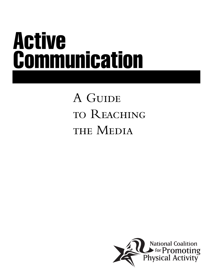# Active Communication

## A GUIDE to Reaching THE MEDIA

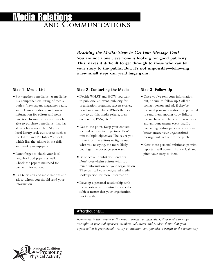### and Communications Media Relations

*Reaching the Media: Steps to Get Your Message Out!* **You are not alone…everyone is looking for good publicity. This makes it difficult to get through to those who can tell your story to the public. But, it's not impossible—following a few small steps can yield huge gains.**

#### **Step 1: Media List**

- **.**Put together a media list.A media list is a comprehensive listing of media outlets (newspapers, magazines, radio, and television stations) and contact information for editors and news directors. In some areas, you may be able to purchase a media list that has already been assembled.At your local library, seek out sources such as the Editor and Publisher Yearbook, which lists the editors in the daily and weekly newspapers.
- Don't forget to check your local neighborhood papers as well. Check the paper's masthead for contact information.
- **.**Call television and radio stations and ask to whom you should send your information.

#### **Step 2: Contacting the Media**

- **.**Decide WHAT and HOW you want to publicize: an event, publicity for organization programs, success stories, new board members? What's the best way to do this: media release, press conference, PSAs, etc.?
- **.**Get to the point. Keep your contact focused on specific objectives. Don't mix multiple objectives.The easier you make it on the editors to figure out what you're saying, the more likely you'll get the coverage you want.
- **.**Be selective in what you send out. Don't overwhelm editors with too much information on your organization. They can call your designated media spokesperson for more information.
- **.**Develop a personal relationship with the reporters who routinely cover the subject matter that your organization works with.

#### **Step 3: Follow Up**

- Once you've sent your information out, be sure to follow up. Call the contact person and ask if they've received your information. Be prepared to send them another copy. Editors receive huge numbers of press releases and announcements every day. By contacting editors personally, you can better ensure your organization's message will get out to the public.
- **.** Now those personal relationships with reporters will come in handy. Call and pitch your story to them.

#### **Afterthoughts…**

*Remember to keep copies of the news coverage you generate. Citing media coverage examples to potential sponsors, members, volunteers, and funders shows that your organization is professional, worthy of attention, and provides a benefit to the community.*

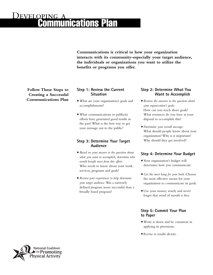## **JEVELOPING** ications Plan

**Communications is critical to how your organization interacts with its community-especially your target audience, the individuals or organizations you want to utilize the benefits or programs you offer.**

**Follow These Steps to Creating a Successful Communications Plan**

#### **Step 1: Review the Current Situation**

- **.**What are your organization's goals and accomplishments?
- **.**What communications or publicity efforts have generated good results in the past? What is the best way to get your message out to the public?

#### **Step 3: Determine Your Target Audience**

- **.***Based on your answer to the question about what you want to accomplish, determine who would benefit most from this effort:* Who needs to know about your work, services, programs and goals?
- **.***Review past experiences to help determine your target audience:* Was a narrowly defined program more successful than a broadly based program?

#### **Step 2: Determine What You Want to Accomplish**

- **.***Review the answers to the question about your organization's goals:* How can you reach those goals? What resources do you have at your disposal to accomplish this?
- **.***Determine your overall message:* What should people know about your organization? Why is it important? Why should they get involved?

#### **Step 4: Determine Your Budget**

- **.**Your organization's budget will determine how you communicate.
- **.***Get the most bang for your buck:* Choose the most effective means for your organization to communicate its goals.
- **.**Use your money wisely and never forget that word of mouth is free.

#### **Step 5: Commit Your Plan to Paper**

- **.**Write it down and be consistent in applying its provisions.
- **.** Revise as results dictate.

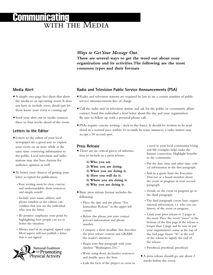## **FOMMUNICATING**

*Ways to Get Your Message Out.* **There are several ways to get the word out about your organization and its activities.The following are the most common types and their formats** 

#### **Media Alert**

- **.**A simple one-page fact sheet that alerts the media to an upcoming event. It does not have to include every detail–just let them know your event is coming up!
- **.** Send your alert out to media contacts three to four weeks ahead of the event.

#### **Letters to the Editor**

- **.**Letters to the editor of your local newspaper are a good way to express your views on an issue while at the same time conveying information to the public. Local television and radio stations may also have forums for audience opinion as well.
- **.**To better your chances of getting your letter accepted for publication:
	- *-*Your writing must be clear, concise, and understandable: short sentences and simple words!
	- *-* Include your name, address, and phone number so the editors can confirm that you are the individual who sent the letter.
	- *-* Be positive: emphasize your point by highlighting how people can act to better the situation.
	- *-* Always send in an original, signed copy. Most papers will not publish a letter that is not signed.



#### **Radio and Television Public Service Announcements (PSA)**

- **.** Radio and television stations are required by law to air a certain number of public service announcements free of charge.
- **.**Call the radio and/or television station and ask for the public or community affairs contact. Send this individual a brief letter about the day and your organization. Be sure to follow up with a personal phone call.
- **PSAs require concise writing stick to the basics. It should be written to be read** aloud in a normal pace within 10 seconds. In some instances, a radio station may accept a 30 second spot.

#### **Press Release**

- **.**There are six critical pieces of information to include in a press release:
	- **1) Who you are.**
	- **2) What you are doing.**
	- **3) When you are doing it.**
	- **4) How you will do it.**
	- **5) Where you are doing it.**
	- **6) Why you are doing it.**
- **.**Basic press release format includes the following:
	- *-* Place the date and the phrase "For Immediate Release" in the upper left corner.
	- *-* Below this phrase, put your contact person's information and phone number.
	- *-* Compose a short headline that describes the press release content and GRABS the reader's attention.
	- *-* Begin your first paragraph with your dateline "Washington, D.C."
	- *-* Write using short, declarative sentences and double space the lines.
	- *-* Link the facts of the project or event to

a need in your local community. Using real-life examples helps make the human connection. Highlight benefits to the community.

- *-* Put the date, time and other time critical information in the first paragraph.
- *-* Add in a quote from the Executive Director or a board member about the event or program in your second paragraph.
- *-* Details on the event or program go in the third paragraph.
- *-* The final paragraph covers basic organizational information, i.e. who you are, history of the event or program.
- *-* Limit your press release to 2 pages at the most. Place the word "more" at the bottom of the first page if the release is longer than 1 page and be sure to put your organization's name at the top of the 2nd page. Insert "30" at the end of the release to signify the end of the release.
- *-* Proofread, proofread, proofread.
- **.**A press release should go out about 2 weeks before the event.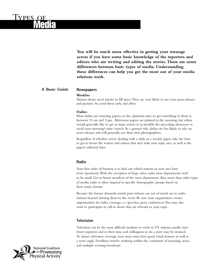**You will be much more effective in getting your message across if you have some basic knowledge of the reporters and editors who are writing and editing the stories.There are some differences between basic types of media. Understanding these differences can help you get the most out of your media relations work.**

#### **Newspapers A Basic Guide**

Types of

Media

#### **Weeklies**

Almost always need articles to fill space.They are very likely to use your press releases and pictures. So, send them early and often.

#### **Dailies**

Most dailies are morning papers, so the optimum time to get something to them is between 10 am and 3 pm. Afternoon papers are printed in the morning, but editor would generally like to get as many stories in as possible the preceding afternoon to avoid next morning's time crunch.As a general rule, dailies are less likely to rely on news releases and will generally use their own photographers.

Regardless of whether you're dealing with a daily or a weekly paper, take the time to get to know the writers and editors that deal with your topic area, as well as the paper's editorial slant.

#### **Radio**

Your first order of business is to find out which stations in your area have news operations.With the exception of large cities, radio news departments tend to be small. Get to know members of the news department.Also, more than other types of media, radio is often targeted to specific demographic groups based on their music format.

Because the format demands sound, press releases are not of much use to radio stations beyond alerting them to the event. Be sure your organization creates opportunities for radio coverage, i.e. speeches, press conferences.You may also want to participate in call-in shows that are relevant to your topic.

#### **Television**

Television can be the most difficult medium to work in.TV stations usually have fewer reporters and so their time and willingness to do a story may be strained. To attract television coverage your story must have good visual features as well as a news angle. Deadlines involve working within the constraints of morning, noon, and multiple evening broadcasts.

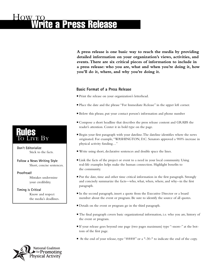**A press release is one basic way to reach the media by providing detailed information on your organization's views, activities, and events.There are six critical pieces of information to include in a press release: who you are, what and when you're doing it, how you'll do it, where, and why you're doing it.**

#### **Basic Format of a Press Release**

- **.**Print the release on your organization's letterhead.
- **.**Place the date and the phrase "For Immediate Release" in the upper left corner.
- **.**Below this phrase, put your contact person's information and phone number
- **.**Compose a short headline that describes the press release content and GRABS the reader's attention. Center it in bold type on the page.
- **.**Begin your first paragraph with your dateline.The dateline identifies where the news originated. For example,"WASHINGTON, D.C. Senators approved a 900% increase in physical activity funding…"
- **.**Write using short, declarative sentences and double space the lines.
- **.**Link the facts of the project or event to a need in your local community. Using real-life examples helps make the human connection. Highlight benefits to the community.
- **.**Put the date, time and other time critical information in the first paragraph. Strongly and concisely summarize the facts—who, what, when, where, and why--in the first paragraph.
- **.**In the second paragraph, insert a quote from the Executive Director or a board member about the event or program. Be sure to identify the source of all quotes.
- **.**Details on the event or program go in the third paragraph.
- **.**The final paragraph covers basic organizational information, i.e. who you are, history of the event or program.
- **.**If your release goes beyond one page (two pages maximum) type "-more-" at the bottom of the first page.
- At the end of your release, type "####" or a "-30-" to indicate the end of the copy.

## Rules ve By

**Don't Editorialize** Stick to the facts.

**Follow a News Writing Style** Short, concise sentences.

**Proofread!**  Mistakes undermine your credibility.

**Timing is Critical** Know and respect the media's deadlines.

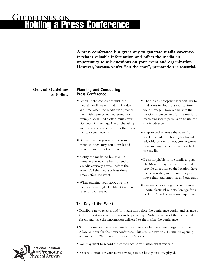## Guidelines on ress Conference

**A press conference is a great way to generate media coverage. It relates valuable information and offers the media an opportunity to ask questions on your event and organization. However, because you're "on the spot", preparation is essential.**

#### **General Guidelines to Follow**

#### **Planning and Conducting a Press Conference**

- **.** Schedule the conference with the media's deadlines in mind. Pick a day and time when the media isn't preoccupied with a pre-scheduled event. For example, local media often must cover city council meetings.Avoid scheduling your press conference at times that conflict with such events.
- Be aware when you schedule your event, another story could break and cause the media not to attend.
- **.** Notify the media no less than 48 hours in advance. It's best to send out a media advisory a week before the event. Call the media at least three times before the event.
- **.**When pitching your story, give the media a news angle. Highlight the news value of your event.
- **.**Choose an appropriate location.Try to find "on-site" locations that capture your message. However, be sure the location is convenient for the media to reach and secure permission to use the site in advance.
- **.**Prepare and rehearse the event.Your speaker should be thoroughly knowledgeably on the subject, your organization, and any materials made available to the media.
- **.**Be as hospitable to the media as possible. Make it easy for them to attend provide directions to the location, have coffee available, and be sure they can move their equipment in and out easily.
- **.** Review location logistics in advance. Locate electrical outlets.Arrange for a podium. Check your sound equipment.

#### **The Day of the Event**

- **.**Distribute news releases and/or media kits before the conference begins and arrange a table or location where extras can be picked up. [Note members of the media that are absent and have the information delivered to them after the conference.]
- **.** Start on time and be sure to finish the conference before interest begins to wane. Allow an hour for the news conference.This breaks down to a 10 minute opening statement and 20 minutes for questions/answers.
- **.**You may want to record the conference so you know what was said.
- **.**Be sure to monitor your news coverage to see how your story played.

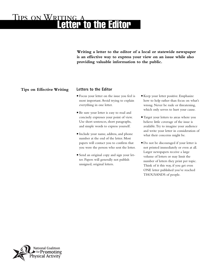## TIPS ON WRITING etter to the Editor

**Writing a letter to the editor of a local or statewide newspaper is an effective way to express your view on an issue while also providing valuable information to the public.**

#### **Tips on Effective Writing**

#### **Letters to the Editor**

- **.** Focus your letter on the issue you feel is most important.Avoid trying to explain everything in one letter.
- **.**Be sure your letter is easy to read and concisely expresses your point of view. Use short sentences, short paragraphs, and simple words to express yourself.
- **.**Include your name, address, and phone number at the end of the letter. Most papers will contact you to confirm that you were the person who sent the letter.
- **.** Send an original copy and sign your letter. Papers will generally not publish unsigned, original letters.
- **.**Keep your letter positive. Emphasize how to help rather than focus on what's wrong. Never be rude or threatening, which only serves to hurt your cause.
- **.**Target your letters to areas where you believe little coverage of the issue is available.Try to imagine your audience and write your letter in consideration of what their concerns might be.
- **.**Do not be discouraged if your letter is not printed immediately or even at all. Larger newspapers receive a large volume of letters or may limit the number of letters they print per topic. Think of it this way, if you get even ONE letter published you've reached THOUSANDS of people.

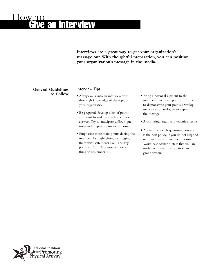## HOW TO **Interview**

**Interviews are a great way to get your organization's message out.With thoughtful preparation, you can position your organization's message in the media.**

#### **General Guidelines to Follow**

#### **Interview Tips**

- **.**Always walk into an interview with thorough knowledge of the topic and your organization.
- **.**Be prepared: develop a list of points you want to make and rehearse these answers.Try to anticipate difficult questions and prepare a positive response.
- **.**Emphasize these main points during the interview by highlighting or flagging them with statements like "The key point is…"or" The most important thing to remember is..."
- **.**Bring a personal element to the interview. Use brief, personal stories to demonstrate your points. Develop metaphors or analogies to express the message.
- **.**Avoid using jargon and technical terms.
- **.**Answer the tough questions: honesty is the best policy. If you do not respond to a question you will seem evasive. Worst-case scenario: state that you are unable to answer the question and give a reason.

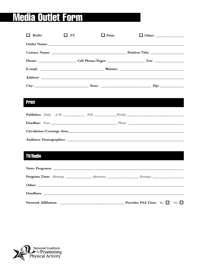#### Form **Outlet** ed 2

| $\Box$ Radio                | $\Box$ TV | $\Box$ Print                                                                                                                                                                                                                   | □ Other: ________________                                                                                                                                                                                                      |  |
|-----------------------------|-----------|--------------------------------------------------------------------------------------------------------------------------------------------------------------------------------------------------------------------------------|--------------------------------------------------------------------------------------------------------------------------------------------------------------------------------------------------------------------------------|--|
|                             |           | Outlet Name: Name and South Art and South Art and South Art and South Art and South Art and South Art and South Art and South Art and South Art and South Art and South Art and Art and Art and Art and Art and Art and Art an |                                                                                                                                                                                                                                |  |
|                             |           |                                                                                                                                                                                                                                |                                                                                                                                                                                                                                |  |
|                             |           |                                                                                                                                                                                                                                |                                                                                                                                                                                                                                |  |
|                             |           |                                                                                                                                                                                                                                |                                                                                                                                                                                                                                |  |
|                             |           |                                                                                                                                                                                                                                |                                                                                                                                                                                                                                |  |
|                             |           |                                                                                                                                                                                                                                |                                                                                                                                                                                                                                |  |
|                             |           |                                                                                                                                                                                                                                |                                                                                                                                                                                                                                |  |
| <b>Print</b>                |           |                                                                                                                                                                                                                                |                                                                                                                                                                                                                                |  |
|                             |           |                                                                                                                                                                                                                                | <b>Publishes:</b> Daily A.M. PM. Weekly                                                                                                                                                                                        |  |
|                             |           |                                                                                                                                                                                                                                |                                                                                                                                                                                                                                |  |
|                             |           |                                                                                                                                                                                                                                | Circulation/Coverage Area: Manual Area and Area and Area and Area and Area and Area and Area and Area and Area and Area and Area and Area and Area and Area and Area and Area and Area and Area and Area and Area and Area and |  |
|                             |           |                                                                                                                                                                                                                                |                                                                                                                                                                                                                                |  |
|                             |           |                                                                                                                                                                                                                                |                                                                                                                                                                                                                                |  |
| <b>TV/Radio</b>             |           |                                                                                                                                                                                                                                |                                                                                                                                                                                                                                |  |
|                             |           |                                                                                                                                                                                                                                |                                                                                                                                                                                                                                |  |
|                             |           |                                                                                                                                                                                                                                |                                                                                                                                                                                                                                |  |
|                             |           |                                                                                                                                                                                                                                |                                                                                                                                                                                                                                |  |
|                             |           |                                                                                                                                                                                                                                |                                                                                                                                                                                                                                |  |
|                             |           |                                                                                                                                                                                                                                |                                                                                                                                                                                                                                |  |
| <b>Network Affiliation:</b> |           | <u> 2000 - Jan James James Barnett, amerikansk politik (</u>                                                                                                                                                                   | $N_o$ $\Box$<br><b>Provides PSA Time:</b> Yes $\Box$                                                                                                                                                                           |  |